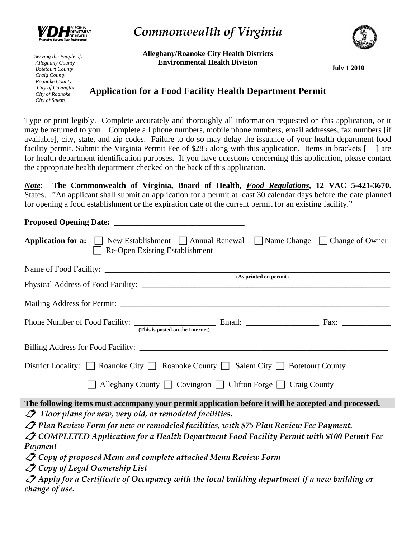

*Serving the People of: Alleghany County Botetourt County Craig County Roanoke County City of Covington City of Roanoke City of Salem* 

*Commonwealth of Virginia* 



**Alleghany/Roanoke City Health Districts Environmental Health Division** 

**July 1 2010** 

## **Application for a Food Facility Health Department Permit**

Type or print legibly. Complete accurately and thoroughly all information requested on this application, or it may be returned to you. Complete all phone numbers, mobile phone numbers, email addresses, fax numbers [if available], city, state, and zip codes. Failure to do so may delay the issuance of your health department food facility permit. Submit the Virginia Permit Fee of \$285 along with this application. Items in brackets [ ] are for health department identification purposes. If you have questions concerning this application, please contact the appropriate health department checked on the back of this application.

*Note***: The Commonwealth of Virginia, Board of Health,** *Food Regulations***, 12 VAC 5-421-3670**. States…"An applicant shall submit an application for a permit at least 30 calendar days before the date planned for opening a food establishment or the expiration date of the current permit for an existing facility."

**Proposed Opening Date:**  $\blacksquare$ **Application for a:**  $\Box$  New Establishment  $\Box$  Annual Renewal  $\Box$  Name Change  $\Box$  Change of Owner  $\Box$  Re-Open Existing Establishment Name of Food Facility: \_\_\_\_\_\_\_\_\_\_\_\_\_\_\_\_\_\_\_\_\_\_\_\_\_\_\_\_\_\_\_\_\_\_\_\_\_\_\_\_\_\_\_\_\_\_\_\_\_\_\_\_\_\_\_\_\_\_\_\_\_\_\_\_\_\_\_\_\_\_ **(As printed on permit**) Physical Address of Food Facility: \_\_\_\_\_\_\_\_\_\_\_\_\_\_\_\_\_\_\_\_\_\_\_\_\_\_\_\_\_\_\_\_\_\_\_\_\_\_\_\_\_\_\_\_\_\_\_\_\_\_\_\_\_\_\_\_\_\_\_\_\_ Mailing Address for Permit: \_\_\_\_\_\_\_\_\_\_\_\_\_\_\_\_\_\_\_\_\_\_\_\_\_\_\_\_\_\_\_\_\_\_\_\_\_\_\_\_\_\_\_\_\_\_\_\_\_\_\_\_\_\_\_\_\_\_\_\_\_\_\_\_\_\_ Phone Number of Food Facility: \_\_\_\_\_\_\_\_\_\_\_\_\_\_\_\_\_\_\_\_ Email: \_\_\_\_\_\_\_\_\_\_\_\_\_\_\_\_\_\_ Fax: \_\_\_\_\_\_\_\_\_\_\_\_  **(This is posted on the Internet)**  Billing Address for Food Facility: \_\_\_\_\_\_\_\_\_\_\_\_\_\_\_\_\_\_\_\_\_\_\_\_\_\_\_\_\_\_\_\_\_\_\_\_\_\_\_\_\_\_\_\_\_\_\_\_\_\_\_\_\_\_\_\_\_\_\_\_\_ District Locality:  $\Box$  Roanoke City  $\Box$  Roanoke County  $\Box$  Salem City  $\Box$  Botetourt County  $\Box$  Alleghany County  $\Box$  Covington  $\Box$  Clifton Forge  $\Box$  Craig County **The following items must accompany your permit application before it will be accepted and processed.**   *Floor plans for new, very old, or remodeled facilities. Plan Review Form for new or remodeled facilities, with \$75 Plan Review Fee Payment. COMPLETED Application for a Health Department Food Facility Permit with \$100 Permit Fee Payment Copy of proposed Menu and complete attached Menu Review Form Copy of Legal Ownership List Apply for a Certificate of Occupancy with the local building department if a new building or change of use.*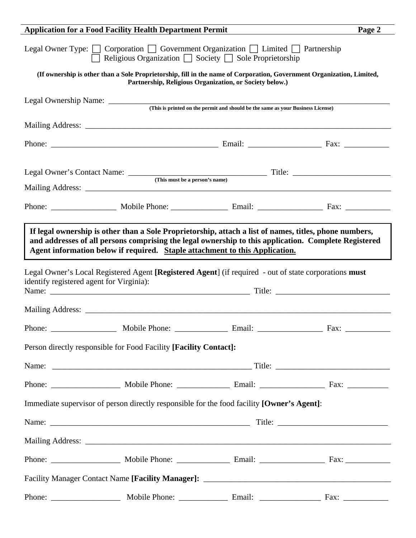| <b>Application for a Food Facility Health Department Permit</b>                                                                                                                                                                                                                                                                          |  |  |  |  |  |
|------------------------------------------------------------------------------------------------------------------------------------------------------------------------------------------------------------------------------------------------------------------------------------------------------------------------------------------|--|--|--|--|--|
| Legal Owner Type: $\Box$ Corporation $\Box$ Government Organization $\Box$ Limited $\Box$ Partnership<br>□ Religious Organization □ Society □ Sole Proprietorship                                                                                                                                                                        |  |  |  |  |  |
| (If ownership is other than a Sole Proprietorship, fill in the name of Corporation, Government Organization, Limited,<br>Partnership, Religious Organization, or Society below.)                                                                                                                                                         |  |  |  |  |  |
|                                                                                                                                                                                                                                                                                                                                          |  |  |  |  |  |
| (This is printed on the permit and should be the same as your Business License)                                                                                                                                                                                                                                                          |  |  |  |  |  |
|                                                                                                                                                                                                                                                                                                                                          |  |  |  |  |  |
|                                                                                                                                                                                                                                                                                                                                          |  |  |  |  |  |
|                                                                                                                                                                                                                                                                                                                                          |  |  |  |  |  |
|                                                                                                                                                                                                                                                                                                                                          |  |  |  |  |  |
|                                                                                                                                                                                                                                                                                                                                          |  |  |  |  |  |
|                                                                                                                                                                                                                                                                                                                                          |  |  |  |  |  |
| and addresses of all persons comprising the legal ownership to this application. Complete Registered<br>Agent information below if required. Staple attachment to this Application.<br>Legal Owner's Local Registered Agent [Registered Agent] (if required - out of state corporations must<br>identify registered agent for Virginia): |  |  |  |  |  |
|                                                                                                                                                                                                                                                                                                                                          |  |  |  |  |  |
|                                                                                                                                                                                                                                                                                                                                          |  |  |  |  |  |
|                                                                                                                                                                                                                                                                                                                                          |  |  |  |  |  |
| Person directly responsible for Food Facility [Facility Contact]:                                                                                                                                                                                                                                                                        |  |  |  |  |  |
|                                                                                                                                                                                                                                                                                                                                          |  |  |  |  |  |
|                                                                                                                                                                                                                                                                                                                                          |  |  |  |  |  |
| Immediate supervisor of person directly responsible for the food facility [Owner's Agent]:                                                                                                                                                                                                                                               |  |  |  |  |  |
|                                                                                                                                                                                                                                                                                                                                          |  |  |  |  |  |
|                                                                                                                                                                                                                                                                                                                                          |  |  |  |  |  |
|                                                                                                                                                                                                                                                                                                                                          |  |  |  |  |  |
|                                                                                                                                                                                                                                                                                                                                          |  |  |  |  |  |
|                                                                                                                                                                                                                                                                                                                                          |  |  |  |  |  |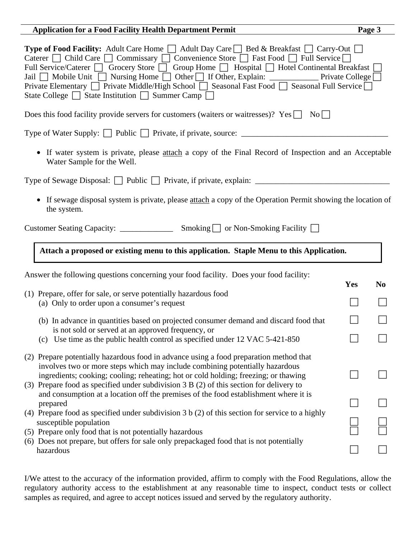| <b>Application for a Food Facility Health Department Permit</b>                                                                                                                                                                                                                                                                                                                                                                                                                                                                                                                                                                                                                                                                                   |     |                |  |  |  |
|---------------------------------------------------------------------------------------------------------------------------------------------------------------------------------------------------------------------------------------------------------------------------------------------------------------------------------------------------------------------------------------------------------------------------------------------------------------------------------------------------------------------------------------------------------------------------------------------------------------------------------------------------------------------------------------------------------------------------------------------------|-----|----------------|--|--|--|
| <b>Type of Food Facility:</b> Adult Care Home $\Box$ Adult Day Care $\Box$ Bed & Breakfast $\Box$ Carry-Out $\Box$<br>Caterer   Child Care   Commissary   Convenience Store   Fast Food   Full Service  <br>Full Service/Caterer Grocery Store Group Home Hospital Hotel Continental Breakfast<br>Private Elementary □ Private Middle/High School □ Seasonal Fast Food □ Seasonal Full Service □<br>State College $\Box$ State Institution $\Box$ Summer Camp $\Box$                                                                                                                                                                                                                                                                              |     |                |  |  |  |
| Does this food facility provide servers for customers (waiters or waitresses)? Yes<br>$\vert$ No $\vert$ $\vert$                                                                                                                                                                                                                                                                                                                                                                                                                                                                                                                                                                                                                                  |     |                |  |  |  |
| Type of Water Supply: Public Private, if private, source: ______________________                                                                                                                                                                                                                                                                                                                                                                                                                                                                                                                                                                                                                                                                  |     |                |  |  |  |
| • If water system is private, please attach a copy of the Final Record of Inspection and an Acceptable<br>Water Sample for the Well.                                                                                                                                                                                                                                                                                                                                                                                                                                                                                                                                                                                                              |     |                |  |  |  |
|                                                                                                                                                                                                                                                                                                                                                                                                                                                                                                                                                                                                                                                                                                                                                   |     |                |  |  |  |
| • If sewage disposal system is private, please attach a copy of the Operation Permit showing the location of<br>the system.                                                                                                                                                                                                                                                                                                                                                                                                                                                                                                                                                                                                                       |     |                |  |  |  |
|                                                                                                                                                                                                                                                                                                                                                                                                                                                                                                                                                                                                                                                                                                                                                   |     |                |  |  |  |
| Attach a proposed or existing menu to this application. Staple Menu to this Application.                                                                                                                                                                                                                                                                                                                                                                                                                                                                                                                                                                                                                                                          |     |                |  |  |  |
| Answer the following questions concerning your food facility. Does your food facility:                                                                                                                                                                                                                                                                                                                                                                                                                                                                                                                                                                                                                                                            | Yes | N <sub>0</sub> |  |  |  |
| (1) Prepare, offer for sale, or serve potentially hazardous food<br>(a) Only to order upon a consumer's request                                                                                                                                                                                                                                                                                                                                                                                                                                                                                                                                                                                                                                   |     |                |  |  |  |
| (b) In advance in quantities based on projected consumer demand and discard food that                                                                                                                                                                                                                                                                                                                                                                                                                                                                                                                                                                                                                                                             |     |                |  |  |  |
| is not sold or served at an approved frequency, or<br>Use time as the public health control as specified under 12 VAC 5-421-850<br>(c)                                                                                                                                                                                                                                                                                                                                                                                                                                                                                                                                                                                                            |     |                |  |  |  |
| (2) Prepare potentially hazardous food in advance using a food preparation method that<br>involves two or more steps which may include combining potentially hazardous<br>ingredients; cooking; cooling; reheating; hot or cold holding; freezing; or thawing<br>(3) Prepare food as specified under subdivision 3 B (2) of this section for delivery to<br>and consumption at a location off the premises of the food establishment where it is<br>prepared<br>(4) Prepare food as specified under subdivision $3 b (2)$ of this section for service to a highly<br>susceptible population<br>(5) Prepare only food that is not potentially hazardous<br>(6) Does not prepare, but offers for sale only prepackaged food that is not potentially |     |                |  |  |  |
|                                                                                                                                                                                                                                                                                                                                                                                                                                                                                                                                                                                                                                                                                                                                                   |     |                |  |  |  |
|                                                                                                                                                                                                                                                                                                                                                                                                                                                                                                                                                                                                                                                                                                                                                   |     |                |  |  |  |
|                                                                                                                                                                                                                                                                                                                                                                                                                                                                                                                                                                                                                                                                                                                                                   |     |                |  |  |  |
| hazardous                                                                                                                                                                                                                                                                                                                                                                                                                                                                                                                                                                                                                                                                                                                                         |     |                |  |  |  |

I/We attest to the accuracy of the information provided, affirm to comply with the Food Regulations, allow the regulatory authority access to the establishment at any reasonable time to inspect, conduct tests or collect samples as required, and agree to accept notices issued and served by the regulatory authority.